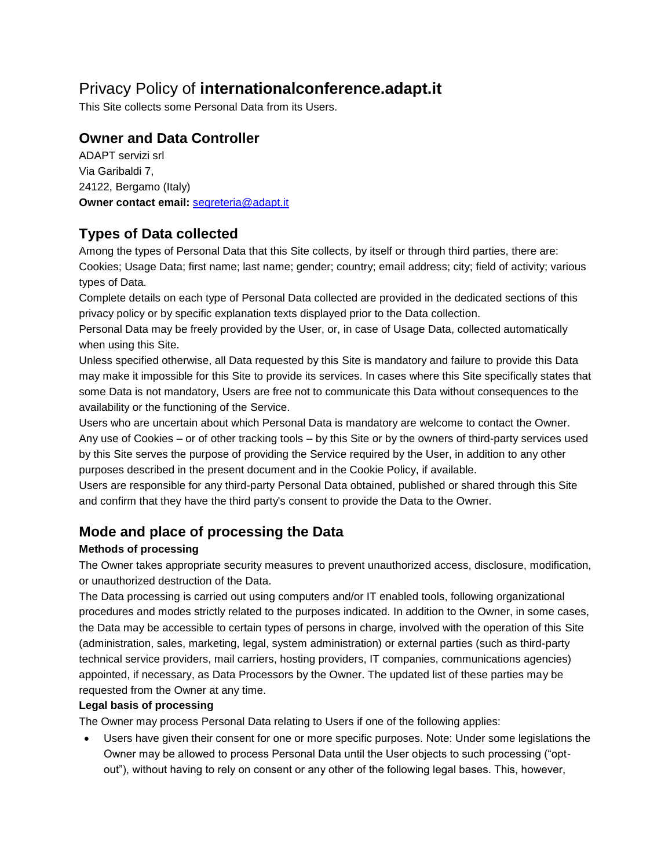# Privacy Policy of **internationalconference.adapt.it**

This Site collects some Personal Data from its Users.

# **Owner and Data Controller**

ADAPT servizi srl Via Garibaldi 7, 24122, Bergamo (Italy) **Owner contact email:** [segreteria@adapt.it](mailto:segreteria@adapt.it)

# **Types of Data collected**

Among the types of Personal Data that this Site collects, by itself or through third parties, there are: Cookies; Usage Data; first name; last name; gender; country; email address; city; field of activity; various types of Data.

Complete details on each type of Personal Data collected are provided in the dedicated sections of this privacy policy or by specific explanation texts displayed prior to the Data collection.

Personal Data may be freely provided by the User, or, in case of Usage Data, collected automatically when using this Site.

Unless specified otherwise, all Data requested by this Site is mandatory and failure to provide this Data may make it impossible for this Site to provide its services. In cases where this Site specifically states that some Data is not mandatory, Users are free not to communicate this Data without consequences to the availability or the functioning of the Service.

Users who are uncertain about which Personal Data is mandatory are welcome to contact the Owner. Any use of Cookies – or of other tracking tools – by this Site or by the owners of third-party services used by this Site serves the purpose of providing the Service required by the User, in addition to any other purposes described in the present document and in the Cookie Policy, if available.

Users are responsible for any third-party Personal Data obtained, published or shared through this Site and confirm that they have the third party's consent to provide the Data to the Owner.

# **Mode and place of processing the Data**

## **Methods of processing**

The Owner takes appropriate security measures to prevent unauthorized access, disclosure, modification, or unauthorized destruction of the Data.

The Data processing is carried out using computers and/or IT enabled tools, following organizational procedures and modes strictly related to the purposes indicated. In addition to the Owner, in some cases, the Data may be accessible to certain types of persons in charge, involved with the operation of this Site (administration, sales, marketing, legal, system administration) or external parties (such as third-party technical service providers, mail carriers, hosting providers, IT companies, communications agencies) appointed, if necessary, as Data Processors by the Owner. The updated list of these parties may be requested from the Owner at any time.

## **Legal basis of processing**

The Owner may process Personal Data relating to Users if one of the following applies:

 Users have given their consent for one or more specific purposes. Note: Under some legislations the Owner may be allowed to process Personal Data until the User objects to such processing ("optout"), without having to rely on consent or any other of the following legal bases. This, however,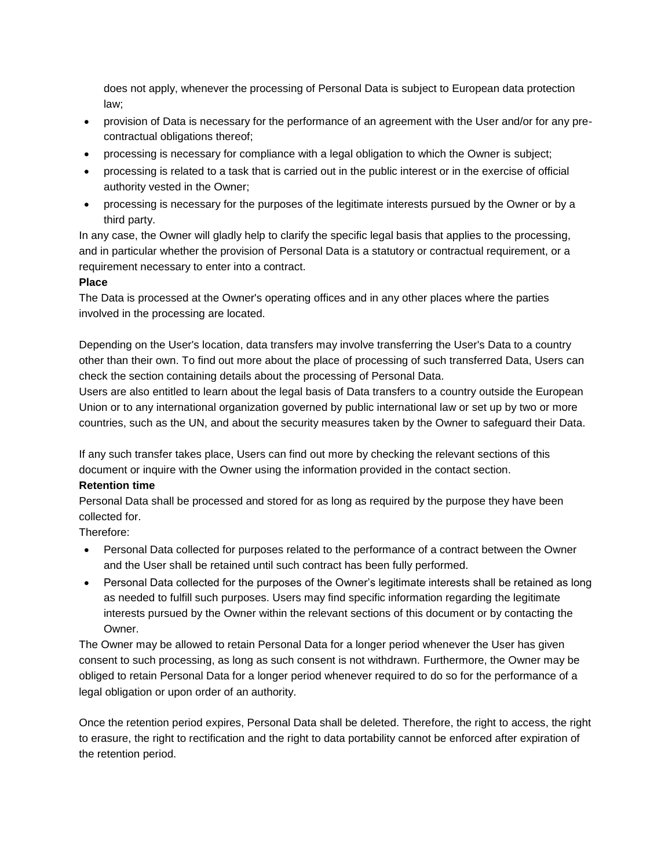does not apply, whenever the processing of Personal Data is subject to European data protection law;

- provision of Data is necessary for the performance of an agreement with the User and/or for any precontractual obligations thereof;
- processing is necessary for compliance with a legal obligation to which the Owner is subject;
- processing is related to a task that is carried out in the public interest or in the exercise of official authority vested in the Owner;
- processing is necessary for the purposes of the legitimate interests pursued by the Owner or by a third party.

In any case, the Owner will gladly help to clarify the specific legal basis that applies to the processing, and in particular whether the provision of Personal Data is a statutory or contractual requirement, or a requirement necessary to enter into a contract.

#### **Place**

The Data is processed at the Owner's operating offices and in any other places where the parties involved in the processing are located.

Depending on the User's location, data transfers may involve transferring the User's Data to a country other than their own. To find out more about the place of processing of such transferred Data, Users can check the section containing details about the processing of Personal Data.

Users are also entitled to learn about the legal basis of Data transfers to a country outside the European Union or to any international organization governed by public international law or set up by two or more countries, such as the UN, and about the security measures taken by the Owner to safeguard their Data.

If any such transfer takes place, Users can find out more by checking the relevant sections of this document or inquire with the Owner using the information provided in the contact section.

#### **Retention time**

Personal Data shall be processed and stored for as long as required by the purpose they have been collected for.

Therefore:

- Personal Data collected for purposes related to the performance of a contract between the Owner and the User shall be retained until such contract has been fully performed.
- Personal Data collected for the purposes of the Owner's legitimate interests shall be retained as long as needed to fulfill such purposes. Users may find specific information regarding the legitimate interests pursued by the Owner within the relevant sections of this document or by contacting the Owner.

The Owner may be allowed to retain Personal Data for a longer period whenever the User has given consent to such processing, as long as such consent is not withdrawn. Furthermore, the Owner may be obliged to retain Personal Data for a longer period whenever required to do so for the performance of a legal obligation or upon order of an authority.

Once the retention period expires, Personal Data shall be deleted. Therefore, the right to access, the right to erasure, the right to rectification and the right to data portability cannot be enforced after expiration of the retention period.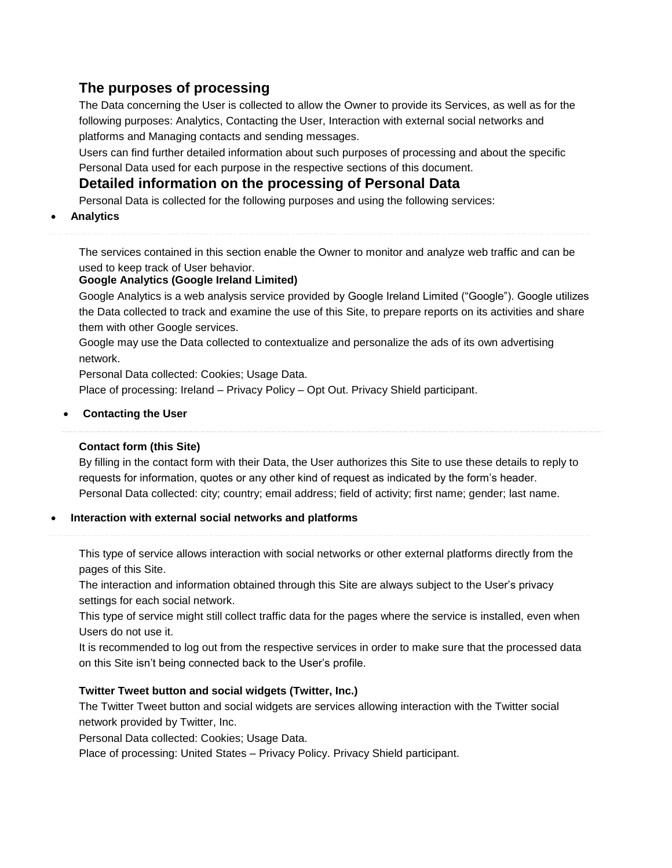# **The purposes of processing**

The Data concerning the User is collected to allow the Owner to provide its Services, as well as for the following purposes: Analytics, Contacting the User, Interaction with external social networks and platforms and Managing contacts and sending messages.

Users can find further detailed information about such purposes of processing and about the specific Personal Data used for each purpose in the respective sections of this document.

# **Detailed information on the processing of Personal Data**

Personal Data is collected for the following purposes and using the following services:

## **Analytics**

The services contained in this section enable the Owner to monitor and analyze web traffic and can be used to keep track of User behavior.

## **Google Analytics (Google Ireland Limited)**

Google Analytics is a web analysis service provided by Google Ireland Limited ("Google"). Google utilizes the Data collected to track and examine the use of this Site, to prepare reports on its activities and share them with other Google services.

Google may use the Data collected to contextualize and personalize the ads of its own advertising network.

Personal Data collected: Cookies; Usage Data.

Place of processing: Ireland – [Privacy](https://policies.google.com/privacy) Policy – Opt [Out.](https://tools.google.com/dlpage/gaoptout?hl=en) Privacy Shield participant.

## **Contacting the User**

## **Contact form (this Site)**

By filling in the contact form with their Data, the User authorizes this Site to use these details to reply to requests for information, quotes or any other kind of request as indicated by the form's header. Personal Data collected: city; country; email address; field of activity; first name; gender; last name.

## **Interaction with external social networks and platforms**

This type of service allows interaction with social networks or other external platforms directly from the pages of this Site.

The interaction and information obtained through this Site are always subject to the User's privacy settings for each social network.

This type of service might still collect traffic data for the pages where the service is installed, even when Users do not use it.

It is recommended to log out from the respective services in order to make sure that the processed data on this Site isn't being connected back to the User's profile.

## **Twitter Tweet button and social widgets (Twitter, Inc.)**

The Twitter Tweet button and social widgets are services allowing interaction with the Twitter social network provided by Twitter, Inc.

Personal Data collected: Cookies; Usage Data.

Place of processing: United States – [Privacy](https://twitter.com/en/privacy) Policy. Privacy Shield participant.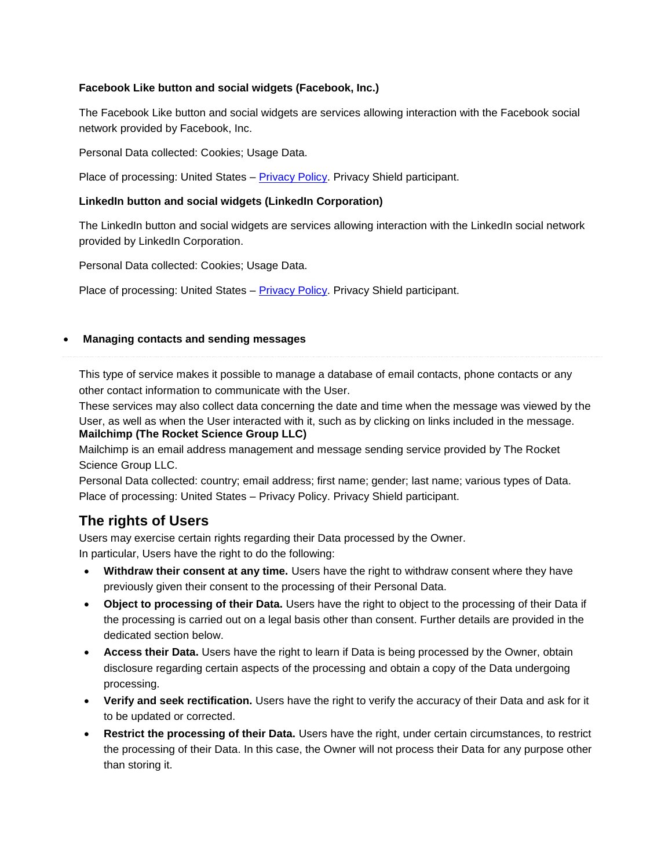#### **Facebook Like button and social widgets (Facebook, Inc.)**

The Facebook Like button and social widgets are services allowing interaction with the Facebook social network provided by Facebook, Inc.

Personal Data collected: Cookies; Usage Data.

Place of processing: United States – [Privacy Policy.](https://www.facebook.com/privacy/explanation) Privacy Shield participant.

#### **LinkedIn button and social widgets (LinkedIn Corporation)**

The LinkedIn button and social widgets are services allowing interaction with the LinkedIn social network provided by LinkedIn Corporation.

Personal Data collected: Cookies; Usage Data.

Place of processing: United States - [Privacy Policy.](https://www.linkedin.com/legal/privacy-policy) Privacy Shield participant.

#### **Managing contacts and sending messages**

This type of service makes it possible to manage a database of email contacts, phone contacts or any other contact information to communicate with the User.

These services may also collect data concerning the date and time when the message was viewed by the User, as well as when the User interacted with it, such as by clicking on links included in the message. **Mailchimp (The Rocket Science Group LLC)**

Mailchimp is an email address management and message sending service provided by The Rocket Science Group LLC.

Personal Data collected: country; email address; first name; gender; last name; various types of Data. Place of processing: United States – [Privacy](https://mailchimp.com/legal/privacy/) Policy. Privacy Shield participant.

## **The rights of Users**

Users may exercise certain rights regarding their Data processed by the Owner. In particular, Users have the right to do the following:

- **Withdraw their consent at any time.** Users have the right to withdraw consent where they have previously given their consent to the processing of their Personal Data.
- **Object to processing of their Data.** Users have the right to object to the processing of their Data if the processing is carried out on a legal basis other than consent. Further details are provided in the dedicated section below.
- **Access their Data.** Users have the right to learn if Data is being processed by the Owner, obtain disclosure regarding certain aspects of the processing and obtain a copy of the Data undergoing processing.
- **Verify and seek rectification.** Users have the right to verify the accuracy of their Data and ask for it to be updated or corrected.
- **Restrict the processing of their Data.** Users have the right, under certain circumstances, to restrict the processing of their Data. In this case, the Owner will not process their Data for any purpose other than storing it.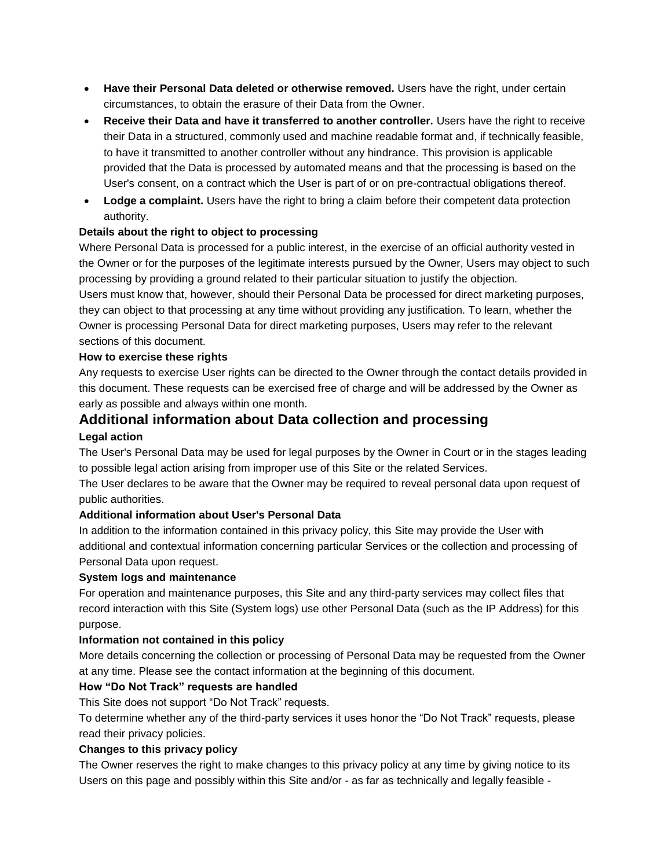- **Have their Personal Data deleted or otherwise removed.** Users have the right, under certain circumstances, to obtain the erasure of their Data from the Owner.
- **Receive their Data and have it transferred to another controller.** Users have the right to receive their Data in a structured, commonly used and machine readable format and, if technically feasible, to have it transmitted to another controller without any hindrance. This provision is applicable provided that the Data is processed by automated means and that the processing is based on the User's consent, on a contract which the User is part of or on pre-contractual obligations thereof.
- **Lodge a complaint.** Users have the right to bring a claim before their competent data protection authority.

#### **Details about the right to object to processing**

Where Personal Data is processed for a public interest, in the exercise of an official authority vested in the Owner or for the purposes of the legitimate interests pursued by the Owner, Users may object to such processing by providing a ground related to their particular situation to justify the objection.

Users must know that, however, should their Personal Data be processed for direct marketing purposes, they can object to that processing at any time without providing any justification. To learn, whether the Owner is processing Personal Data for direct marketing purposes, Users may refer to the relevant sections of this document.

#### **How to exercise these rights**

Any requests to exercise User rights can be directed to the Owner through the contact details provided in this document. These requests can be exercised free of charge and will be addressed by the Owner as early as possible and always within one month.

# **Additional information about Data collection and processing**

### **Legal action**

The User's Personal Data may be used for legal purposes by the Owner in Court or in the stages leading to possible legal action arising from improper use of this Site or the related Services.

The User declares to be aware that the Owner may be required to reveal personal data upon request of public authorities.

## **Additional information about User's Personal Data**

In addition to the information contained in this privacy policy, this Site may provide the User with additional and contextual information concerning particular Services or the collection and processing of Personal Data upon request.

#### **System logs and maintenance**

For operation and maintenance purposes, this Site and any third-party services may collect files that record interaction with this Site (System logs) use other Personal Data (such as the IP Address) for this purpose.

## **Information not contained in this policy**

More details concerning the collection or processing of Personal Data may be requested from the Owner at any time. Please see the contact information at the beginning of this document.

## **How "Do Not Track" requests are handled**

This Site does not support "Do Not Track" requests.

To determine whether any of the third-party services it uses honor the "Do Not Track" requests, please read their privacy policies.

#### **Changes to this privacy policy**

The Owner reserves the right to make changes to this privacy policy at any time by giving notice to its Users on this page and possibly within this Site and/or - as far as technically and legally feasible -